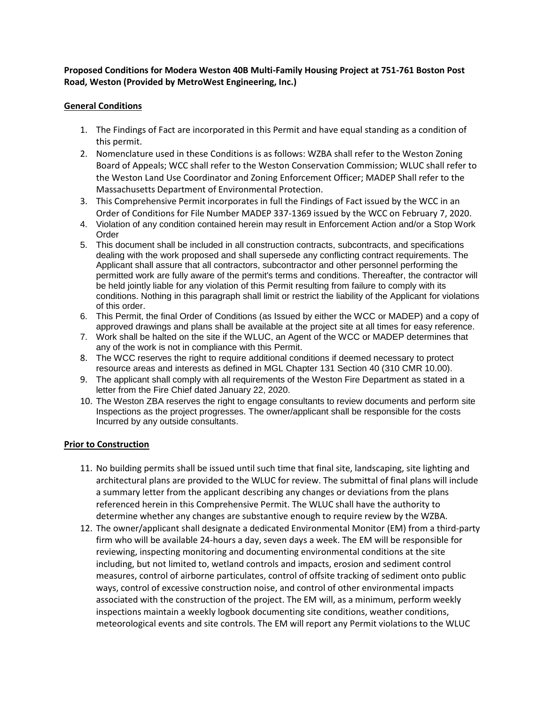## **Proposed Conditions for Modera Weston 40B Multi-Family Housing Project at 751-761 Boston Post Road, Weston (Provided by MetroWest Engineering, Inc.)**

### **General Conditions**

- 1. The Findings of Fact are incorporated in this Permit and have equal standing as a condition of this permit.
- 2. Nomenclature used in these Conditions is as follows: WZBA shall refer to the Weston Zoning Board of Appeals; WCC shall refer to the Weston Conservation Commission; WLUC shall refer to the Weston Land Use Coordinator and Zoning Enforcement Officer; MADEP Shall refer to the Massachusetts Department of Environmental Protection.
- 3. This Comprehensive Permit incorporates in full the Findings of Fact issued by the WCC in an Order of Conditions for File Number MADEP 337-1369 issued by the WCC on February 7, 2020.
- 4. Violation of any condition contained herein may result in Enforcement Action and/or a Stop Work Order
- 5. This document shall be included in all construction contracts, subcontracts, and specifications dealing with the work proposed and shall supersede any conflicting contract requirements. The Applicant shall assure that all contractors, subcontractor and other personnel performing the permitted work are fully aware of the permit's terms and conditions. Thereafter, the contractor will be held jointly liable for any violation of this Permit resulting from failure to comply with its conditions. Nothing in this paragraph shall limit or restrict the liability of the Applicant for violations of this order.
- 6. This Permit, the final Order of Conditions (as Issued by either the WCC or MADEP) and a copy of approved drawings and plans shall be available at the project site at all times for easy reference.
- 7. Work shall be halted on the site if the WLUC, an Agent of the WCC or MADEP determines that any of the work is not in compliance with this Permit.
- 8. The WCC reserves the right to require additional conditions if deemed necessary to protect resource areas and interests as defined in MGL Chapter 131 Section 40 (310 CMR 10.00).
- 9. The applicant shall comply with all requirements of the Weston Fire Department as stated in a letter from the Fire Chief dated January 22, 2020.
- 10. The Weston ZBA reserves the right to engage consultants to review documents and perform site Inspections as the project progresses. The owner/applicant shall be responsible for the costs Incurred by any outside consultants.

### **Prior to Construction**

- 11. No building permits shall be issued until such time that final site, landscaping, site lighting and architectural plans are provided to the WLUC for review. The submittal of final plans will include a summary letter from the applicant describing any changes or deviations from the plans referenced herein in this Comprehensive Permit. The WLUC shall have the authority to determine whether any changes are substantive enough to require review by the WZBA.
- 12. The owner/applicant shall designate a dedicated Environmental Monitor (EM) from a third-party firm who will be available 24-hours a day, seven days a week. The EM will be responsible for reviewing, inspecting monitoring and documenting environmental conditions at the site including, but not limited to, wetland controls and impacts, erosion and sediment control measures, control of airborne particulates, control of offsite tracking of sediment onto public ways, control of excessive construction noise, and control of other environmental impacts associated with the construction of the project. The EM will, as a minimum, perform weekly inspections maintain a weekly logbook documenting site conditions, weather conditions, meteorological events and site controls. The EM will report any Permit violations to the WLUC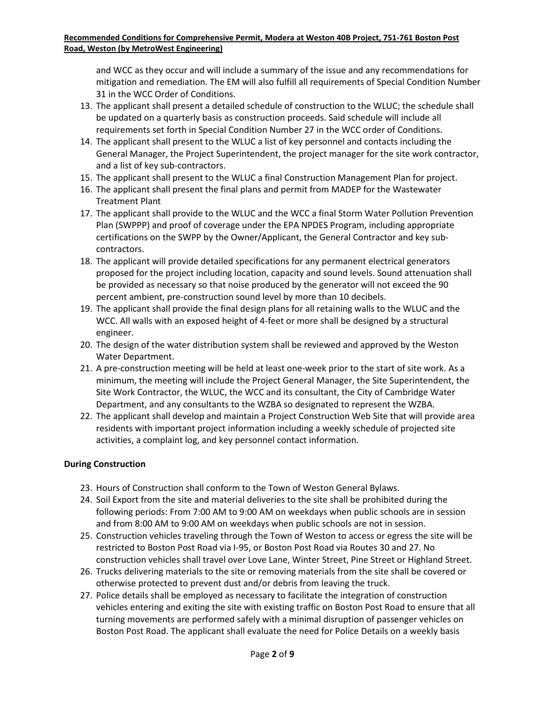and WCC as they occur and will include a summary of the issue and any recommendations for mitigation and remediation. The EM will also fulfill all requirements of Special Condition Number 31 in the WCC Order of Conditions.

- 13. The applicant shall present a detailed schedule of construction to the WLUC; the schedule shall be updated on a quarterly basis as construction proceeds. Said schedule will include all requirements set forth in Special Condition Number 27 in the WCC order of Conditions.
- 14. The applicant shall present to the WLUC a list of key personnel and contacts including the General Manager, the Project Superintendent, the project manager for the site work contractor, and a list of key sub-contractors.
- 15. The applicant shall present to the WLUC a final Construction Management Plan for project.
- 16. The applicant shall present the final plans and permit from MADEP for the Wastewater Treatment Plant
- 17. The applicant shall provide to the WLUC and the WCC a final Storm Water Pollution Prevention Plan (SWPPP) and proof of coverage under the EPA NPDES Program, including appropriate certifications on the SWPP by the Owner/Applicant, the General Contractor and key subcontractors.
- 18. The applicant will provide detailed specifications for any permanent electrical generators proposed for the project including location, capacity and sound levels. Sound attenuation shall be provided as necessary so that noise produced by the generator will not exceed the 90 percent ambient, pre-construction sound level by more than 10 decibels.
- 19. The applicant shall provide the final design plans for all retaining walls to the WLUC and the WCC. All walls with an exposed height of 4-feet or more shall be designed by a structural engineer.
- 20. The design of the water distribution system shall be reviewed and approved by the Weston Water Department.
- 21. A pre-construction meeting will be held at least one-week prior to the start of site work. As a minimum, the meeting will include the Project General Manager, the Site Superintendent, the Site Work Contractor, the WLUC, the WCC and its consultant, the City of Cambridge Water Department, and any consultants to the WZBA so designated to represent the WZBA.
- 22. The applicant shall develop and maintain a Project Construction Web Site that will provide area residents with important project information including a weekly schedule of projected site activities, a complaint log, and key personnel contact information.

# **During Construction**

- 23. Hours of Construction shall conform to the Town of Weston General Bylaws.
- 24. Soil Export from the site and material deliveries to the site shall be prohibited during the following periods: From 7:00 AM to 9:00 AM on weekdays when public schools are in session and from 8:00 AM to 9:00 AM on weekdays when public schools are not in session.
- 25. Construction vehicles traveling through the Town of Weston to access or egress the site will be restricted to Boston Post Road via I-95, or Boston Post Road via Routes 30 and 27. No construction vehicles shall travel over Love Lane, Winter Street, Pine Street or Highland Street.
- 26. Trucks delivering materials to the site or removing materials from the site shall be covered or otherwise protected to prevent dust and/or debris from leaving the truck.
- 27. Police details shall be employed as necessary to facilitate the integration of construction vehicles entering and exiting the site with existing traffic on Boston Post Road to ensure that all turning movements are performed safely with a minimal disruption of passenger vehicles on Boston Post Road. The applicant shall evaluate the need for Police Details on a weekly basis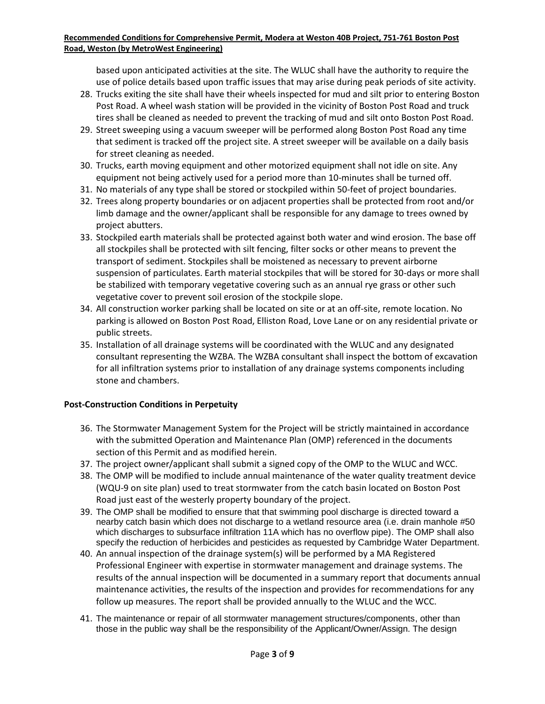based upon anticipated activities at the site. The WLUC shall have the authority to require the use of police details based upon traffic issues that may arise during peak periods of site activity.

- 28. Trucks exiting the site shall have their wheels inspected for mud and silt prior to entering Boston Post Road. A wheel wash station will be provided in the vicinity of Boston Post Road and truck tires shall be cleaned as needed to prevent the tracking of mud and silt onto Boston Post Road.
- 29. Street sweeping using a vacuum sweeper will be performed along Boston Post Road any time that sediment is tracked off the project site. A street sweeper will be available on a daily basis for street cleaning as needed.
- 30. Trucks, earth moving equipment and other motorized equipment shall not idle on site. Any equipment not being actively used for a period more than 10-minutes shall be turned off.
- 31. No materials of any type shall be stored or stockpiled within 50-feet of project boundaries.
- 32. Trees along property boundaries or on adjacent properties shall be protected from root and/or limb damage and the owner/applicant shall be responsible for any damage to trees owned by project abutters.
- 33. Stockpiled earth materials shall be protected against both water and wind erosion. The base off all stockpiles shall be protected with silt fencing, filter socks or other means to prevent the transport of sediment. Stockpiles shall be moistened as necessary to prevent airborne suspension of particulates. Earth material stockpiles that will be stored for 30-days or more shall be stabilized with temporary vegetative covering such as an annual rye grass or other such vegetative cover to prevent soil erosion of the stockpile slope.
- 34. All construction worker parking shall be located on site or at an off-site, remote location. No parking is allowed on Boston Post Road, Elliston Road, Love Lane or on any residential private or public streets.
- 35. Installation of all drainage systems will be coordinated with the WLUC and any designated consultant representing the WZBA. The WZBA consultant shall inspect the bottom of excavation for all infiltration systems prior to installation of any drainage systems components including stone and chambers.

# **Post-Construction Conditions in Perpetuity**

- 36. The Stormwater Management System for the Project will be strictly maintained in accordance with the submitted Operation and Maintenance Plan (OMP) referenced in the documents section of this Permit and as modified herein.
- 37. The project owner/applicant shall submit a signed copy of the OMP to the WLUC and WCC.
- 38. The OMP will be modified to include annual maintenance of the water quality treatment device (WQU-9 on site plan) used to treat stormwater from the catch basin located on Boston Post Road just east of the westerly property boundary of the project.
- 39. The OMP shall be modified to ensure that that swimming pool discharge is directed toward a nearby catch basin which does not discharge to a wetland resource area (i.e. drain manhole #50 which discharges to subsurface infiltration 11A which has no overflow pipe). The OMP shall also specify the reduction of herbicides and pesticides as requested by Cambridge Water Department.
- 40. An annual inspection of the drainage system(s) will be performed by a MA Registered Professional Engineer with expertise in stormwater management and drainage systems. The results of the annual inspection will be documented in a summary report that documents annual maintenance activities, the results of the inspection and provides for recommendations for any follow up measures. The report shall be provided annually to the WLUC and the WCC.
- 41. The maintenance or repair of all stormwater management structures/components, other than those in the public way shall be the responsibility of the Applicant/Owner/Assign. The design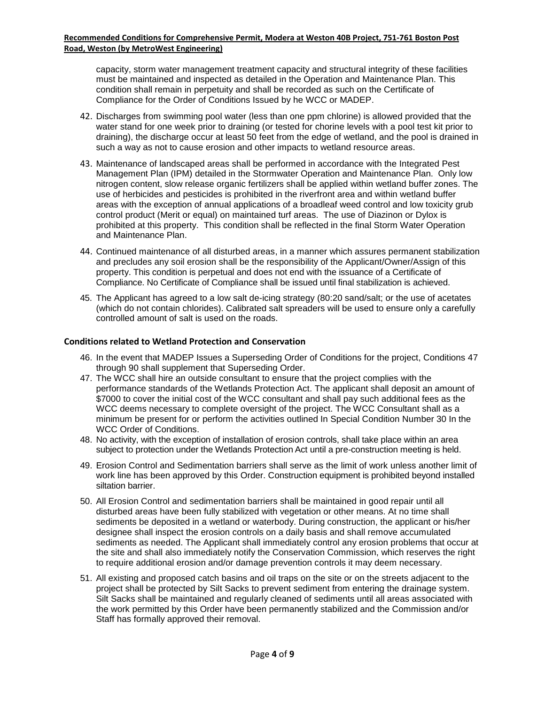capacity, storm water management treatment capacity and structural integrity of these facilities must be maintained and inspected as detailed in the Operation and Maintenance Plan. This condition shall remain in perpetuity and shall be recorded as such on the Certificate of Compliance for the Order of Conditions Issued by he WCC or MADEP.

- 42. Discharges from swimming pool water (less than one ppm chlorine) is allowed provided that the water stand for one week prior to draining (or tested for chorine levels with a pool test kit prior to draining), the discharge occur at least 50 feet from the edge of wetland, and the pool is drained in such a way as not to cause erosion and other impacts to wetland resource areas.
- 43. Maintenance of landscaped areas shall be performed in accordance with the Integrated Pest Management Plan (IPM) detailed in the Stormwater Operation and Maintenance Plan. Only low nitrogen content, slow release organic fertilizers shall be applied within wetland buffer zones. The use of herbicides and pesticides is prohibited in the riverfront area and within wetland buffer areas with the exception of annual applications of a broadleaf weed control and low toxicity grub control product (Merit or equal) on maintained turf areas. The use of Diazinon or Dylox is prohibited at this property. This condition shall be reflected in the final Storm Water Operation and Maintenance Plan.
- 44. Continued maintenance of all disturbed areas, in a manner which assures permanent stabilization and precludes any soil erosion shall be the responsibility of the Applicant/Owner/Assign of this property. This condition is perpetual and does not end with the issuance of a Certificate of Compliance. No Certificate of Compliance shall be issued until final stabilization is achieved.
- 45. The Applicant has agreed to a low salt de-icing strategy (80:20 sand/salt; or the use of acetates (which do not contain chlorides). Calibrated salt spreaders will be used to ensure only a carefully controlled amount of salt is used on the roads.

#### **Conditions related to Wetland Protection and Conservation**

- 46. In the event that MADEP Issues a Superseding Order of Conditions for the project, Conditions 47 through 90 shall supplement that Superseding Order.
- 47. The WCC shall hire an outside consultant to ensure that the project complies with the performance standards of the Wetlands Protection Act. The applicant shall deposit an amount of \$7000 to cover the initial cost of the WCC consultant and shall pay such additional fees as the WCC deems necessary to complete oversight of the project. The WCC Consultant shall as a minimum be present for or perform the activities outlined In Special Condition Number 30 In the WCC Order of Conditions.
- 48. No activity, with the exception of installation of erosion controls, shall take place within an area subject to protection under the Wetlands Protection Act until a pre-construction meeting is held.
- 49. Erosion Control and Sedimentation barriers shall serve as the limit of work unless another limit of work line has been approved by this Order. Construction equipment is prohibited beyond installed siltation barrier.
- 50. All Erosion Control and sedimentation barriers shall be maintained in good repair until all disturbed areas have been fully stabilized with vegetation or other means. At no time shall sediments be deposited in a wetland or waterbody. During construction, the applicant or his/her designee shall inspect the erosion controls on a daily basis and shall remove accumulated sediments as needed. The Applicant shall immediately control any erosion problems that occur at the site and shall also immediately notify the Conservation Commission, which reserves the right to require additional erosion and/or damage prevention controls it may deem necessary.
- 51. All existing and proposed catch basins and oil traps on the site or on the streets adjacent to the project shall be protected by Silt Sacks to prevent sediment from entering the drainage system. Silt Sacks shall be maintained and regularly cleaned of sediments until all areas associated with the work permitted by this Order have been permanently stabilized and the Commission and/or Staff has formally approved their removal.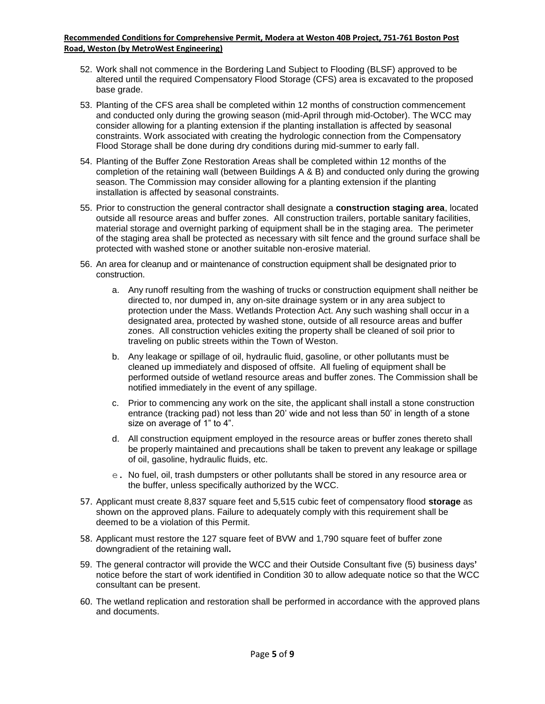- 52. Work shall not commence in the Bordering Land Subject to Flooding (BLSF) approved to be altered until the required Compensatory Flood Storage (CFS) area is excavated to the proposed base grade.
- 53. Planting of the CFS area shall be completed within 12 months of construction commencement and conducted only during the growing season (mid-April through mid-October). The WCC may consider allowing for a planting extension if the planting installation is affected by seasonal constraints. Work associated with creating the hydrologic connection from the Compensatory Flood Storage shall be done during dry conditions during mid-summer to early fall.
- 54. Planting of the Buffer Zone Restoration Areas shall be completed within 12 months of the completion of the retaining wall (between Buildings A & B) and conducted only during the growing season. The Commission may consider allowing for a planting extension if the planting installation is affected by seasonal constraints.
- 55. Prior to construction the general contractor shall designate a **construction staging area**, located outside all resource areas and buffer zones. All construction trailers, portable sanitary facilities, material storage and overnight parking of equipment shall be in the staging area. The perimeter of the staging area shall be protected as necessary with silt fence and the ground surface shall be protected with washed stone or another suitable non-erosive material.
- 56. An area for cleanup and or maintenance of construction equipment shall be designated prior to construction.
	- a. Any runoff resulting from the washing of trucks or construction equipment shall neither be directed to, nor dumped in, any on-site drainage system or in any area subject to protection under the Mass. Wetlands Protection Act. Any such washing shall occur in a designated area, protected by washed stone, outside of all resource areas and buffer zones. All construction vehicles exiting the property shall be cleaned of soil prior to traveling on public streets within the Town of Weston.
	- b. Any leakage or spillage of oil, hydraulic fluid, gasoline, or other pollutants must be cleaned up immediately and disposed of offsite. All fueling of equipment shall be performed outside of wetland resource areas and buffer zones. The Commission shall be notified immediately in the event of any spillage.
	- c. Prior to commencing any work on the site, the applicant shall install a stone construction entrance (tracking pad) not less than 20' wide and not less than 50' in length of a stone size on average of 1" to 4".
	- d. All construction equipment employed in the resource areas or buffer zones thereto shall be properly maintained and precautions shall be taken to prevent any leakage or spillage of oil, gasoline, hydraulic fluids, etc.
	- e. No fuel, oil, trash dumpsters or other pollutants shall be stored in any resource area or the buffer, unless specifically authorized by the WCC.
- 57. Applicant must create 8,837 square feet and 5,515 cubic feet of compensatory flood **storage** as shown on the approved plans. Failure to adequately comply with this requirement shall be deemed to be a violation of this Permit.
- 58. Applicant must restore the 127 square feet of BVW and 1,790 square feet of buffer zone downgradient of the retaining wall**.**
- 59. The general contractor will provide the WCC and their Outside Consultant five (5) business days**'** notice before the start of work identified in Condition 30 to allow adequate notice so that the WCC consultant can be present.
- 60. The wetland replication and restoration shall be performed in accordance with the approved plans and documents.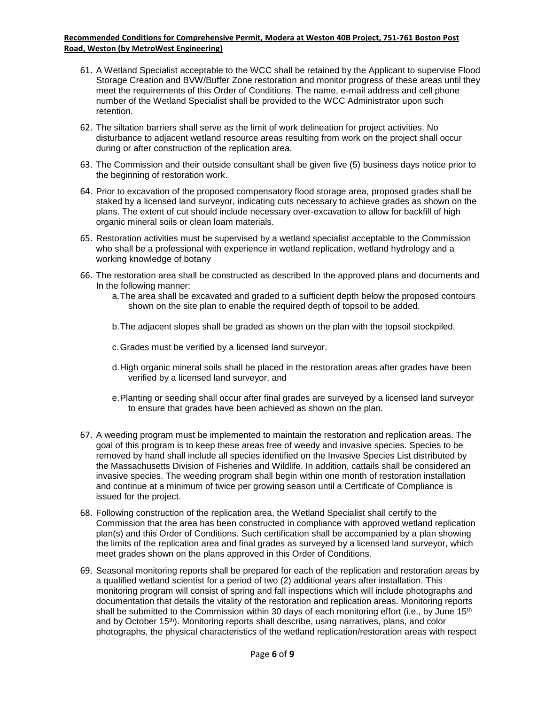- 61. A Wetland Specialist acceptable to the WCC shall be retained by the Applicant to supervise Flood Storage Creation and BVW/Buffer Zone restoration and monitor progress of these areas until they meet the requirements of this Order of Conditions. The name, e-mail address and cell phone number of the Wetland Specialist shall be provided to the WCC Administrator upon such retention.
- 62. The siltation barriers shall serve as the limit of work delineation for project activities. No disturbance to adjacent wetland resource areas resulting from work on the project shall occur during or after construction of the replication area.
- 63. The Commission and their outside consultant shall be given five (5) business days notice prior to the beginning of restoration work.
- 64. Prior to excavation of the proposed compensatory flood storage area, proposed grades shall be staked by a licensed land surveyor, indicating cuts necessary to achieve grades as shown on the plans. The extent of cut should include necessary over-excavation to allow for backfill of high organic mineral soils or clean loam materials.
- 65. Restoration activities must be supervised by a wetland specialist acceptable to the Commission who shall be a professional with experience in wetland replication, wetland hydrology and a working knowledge of botany
- 66. The restoration area shall be constructed as described In the approved plans and documents and In the following manner:
	- a.The area shall be excavated and graded to a sufficient depth below the proposed contours shown on the site plan to enable the required depth of topsoil to be added.
	- b.The adjacent slopes shall be graded as shown on the plan with the topsoil stockpiled.
	- c.Grades must be verified by a licensed land surveyor.
	- d.High organic mineral soils shall be placed in the restoration areas after grades have been verified by a licensed land surveyor, and
	- e.Planting or seeding shall occur after final grades are surveyed by a licensed land surveyor to ensure that grades have been achieved as shown on the plan.
- 67. A weeding program must be implemented to maintain the restoration and replication areas. The goal of this program is to keep these areas free of weedy and invasive species. Species to be removed by hand shall include all species identified on the Invasive Species List distributed by the Massachusetts Division of Fisheries and Wildlife. In addition, cattails shall be considered an invasive species. The weeding program shall begin within one month of restoration installation and continue at a minimum of twice per growing season until a Certificate of Compliance is issued for the project.
- 68. Following construction of the replication area, the Wetland Specialist shall certify to the Commission that the area has been constructed in compliance with approved wetland replication plan(s) and this Order of Conditions. Such certification shall be accompanied by a plan showing the limits of the replication area and final grades as surveyed by a licensed land surveyor, which meet grades shown on the plans approved in this Order of Conditions.
- 69. Seasonal monitoring reports shall be prepared for each of the replication and restoration areas by a qualified wetland scientist for a period of two (2) additional years after installation. This monitoring program will consist of spring and fall inspections which will include photographs and documentation that details the vitality of the restoration and replication areas. Monitoring reports shall be submitted to the Commission within 30 days of each monitoring effort (i.e., by June 15<sup>th</sup> and by October 15th ). Monitoring reports shall describe, using narratives, plans, and color photographs, the physical characteristics of the wetland replication/restoration areas with respect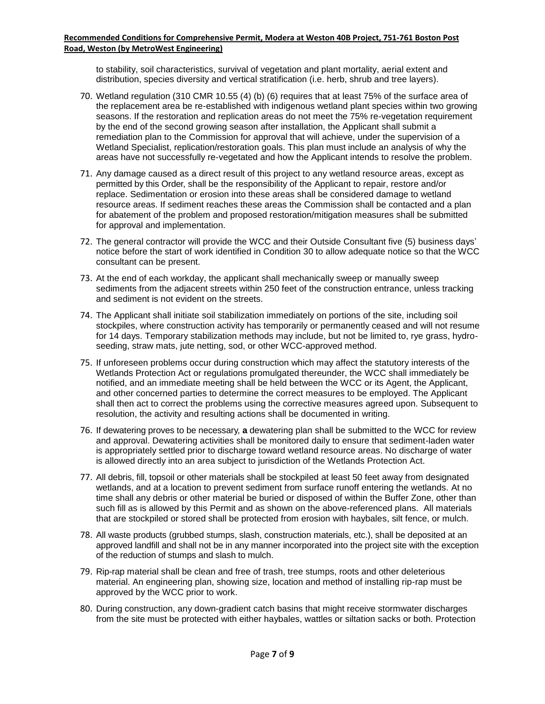to stability, soil characteristics, survival of vegetation and plant mortality, aerial extent and distribution, species diversity and vertical stratification (i.e. herb, shrub and tree layers).

- 70. Wetland regulation (310 CMR 10.55 (4) (b) (6) requires that at least 75% of the surface area of the replacement area be re-established with indigenous wetland plant species within two growing seasons. If the restoration and replication areas do not meet the 75% re-vegetation requirement by the end of the second growing season after installation, the Applicant shall submit a remediation plan to the Commission for approval that will achieve, under the supervision of a Wetland Specialist, replication/restoration goals. This plan must include an analysis of why the areas have not successfully re-vegetated and how the Applicant intends to resolve the problem.
- 71. Any damage caused as a direct result of this project to any wetland resource areas, except as permitted by this Order, shall be the responsibility of the Applicant to repair, restore and/or replace. Sedimentation or erosion into these areas shall be considered damage to wetland resource areas. If sediment reaches these areas the Commission shall be contacted and a plan for abatement of the problem and proposed restoration/mitigation measures shall be submitted for approval and implementation.
- 72. The general contractor will provide the WCC and their Outside Consultant five (5) business days' notice before the start of work identified in Condition 30 to allow adequate notice so that the WCC consultant can be present.
- 73. At the end of each workday, the applicant shall mechanically sweep or manually sweep sediments from the adjacent streets within 250 feet of the construction entrance, unless tracking and sediment is not evident on the streets.
- 74. The Applicant shall initiate soil stabilization immediately on portions of the site, including soil stockpiles, where construction activity has temporarily or permanently ceased and will not resume for 14 days. Temporary stabilization methods may include, but not be limited to, rye grass, hydroseeding, straw mats, jute netting, sod, or other WCC-approved method.
- 75. If unforeseen problems occur during construction which may affect the statutory interests of the Wetlands Protection Act or regulations promulgated thereunder, the WCC shall immediately be notified, and an immediate meeting shall be held between the WCC or its Agent, the Applicant, and other concerned parties to determine the correct measures to be employed. The Applicant shall then act to correct the problems using the corrective measures agreed upon. Subsequent to resolution, the activity and resulting actions shall be documented in writing.
- 76. If dewatering proves to be necessary, **a** dewatering plan shall be submitted to the WCC for review and approval. Dewatering activities shall be monitored daily to ensure that sediment-laden water is appropriately settled prior to discharge toward wetland resource areas. No discharge of water is allowed directly into an area subject to jurisdiction of the Wetlands Protection Act.
- 77. All debris, fill, topsoil or other materials shall be stockpiled at least 50 feet away from designated wetlands, and at a location to prevent sediment from surface runoff entering the wetlands. At no time shall any debris or other material be buried or disposed of within the Buffer Zone, other than such fill as is allowed by this Permit and as shown on the above-referenced plans. All materials that are stockpiled or stored shall be protected from erosion with haybales, silt fence, or mulch.
- 78. All waste products (grubbed stumps, slash, construction materials, etc.), shall be deposited at an approved landfill and shall not be in any manner incorporated into the project site with the exception of the reduction of stumps and slash to mulch.
- 79. Rip-rap material shall be clean and free of trash, tree stumps, roots and other deleterious material. An engineering plan, showing size, location and method of installing rip-rap must be approved by the WCC prior to work.
- 80. During construction, any down-gradient catch basins that might receive stormwater discharges from the site must be protected with either haybales, wattles or siltation sacks or both. Protection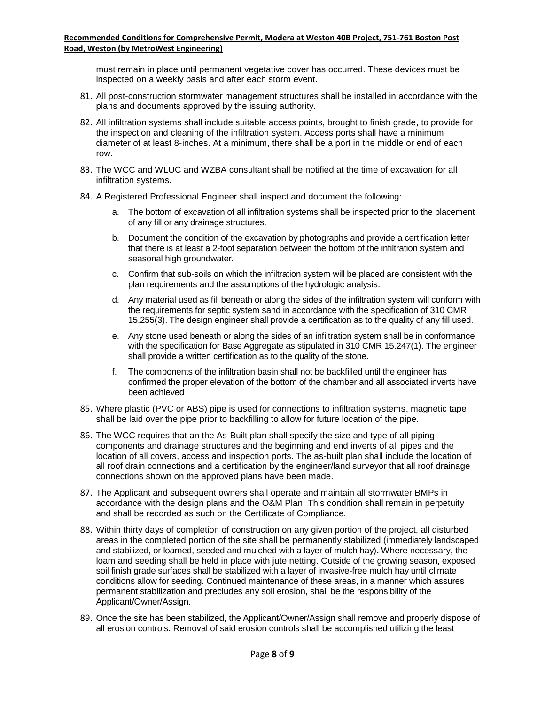must remain in place until permanent vegetative cover has occurred. These devices must be inspected on a weekly basis and after each storm event.

- 81. All post-construction stormwater management structures shall be installed in accordance with the plans and documents approved by the issuing authority.
- 82. All infiltration systems shall include suitable access points, brought to finish grade, to provide for the inspection and cleaning of the infiltration system. Access ports shall have a minimum diameter of at least 8-inches. At a minimum, there shall be a port in the middle or end of each row.
- 83. The WCC and WLUC and WZBA consultant shall be notified at the time of excavation for all infiltration systems.
- 84. A Registered Professional Engineer shall inspect and document the following:
	- a. The bottom of excavation of all infiltration systems shall be inspected prior to the placement of any fill or any drainage structures.
	- b. Document the condition of the excavation by photographs and provide a certification letter that there is at least a 2-foot separation between the bottom of the infiltration system and seasonal high groundwater.
	- c. Confirm that sub-soils on which the infiltration system will be placed are consistent with the plan requirements and the assumptions of the hydrologic analysis.
	- d. Any material used as fill beneath or along the sides of the infiltration system will conform with the requirements for septic system sand in accordance with the specification of 310 CMR 15.255(3). The design engineer shall provide a certification as to the quality of any fill used.
	- e. Any stone used beneath or along the sides of an infiltration system shall be in conformance with the specification for Base Aggregate as stipulated in 310 CMR 15.247(1**)**. The engineer shall provide a written certification as to the quality of the stone.
	- f. The components of the infiltration basin shall not be backfilled until the engineer has confirmed the proper elevation of the bottom of the chamber and all associated inverts have been achieved
- 85. Where plastic (PVC or ABS) pipe is used for connections to infiltration systems, magnetic tape shall be laid over the pipe prior to backfilling to allow for future location of the pipe.
- 86. The WCC requires that an the As-Built plan shall specify the size and type of all piping components and drainage structures and the beginning and end inverts of all pipes and the location of all covers, access and inspection ports. The as-built plan shall include the location of all roof drain connections and a certification by the engineer/land surveyor that all roof drainage connections shown on the approved plans have been made.
- 87. The Applicant and subsequent owners shall operate and maintain all stormwater BMPs in accordance with the design plans and the O&M Plan. This condition shall remain in perpetuity and shall be recorded as such on the Certificate of Compliance.
- 88. Within thirty days of completion of construction on any given portion of the project, all disturbed areas in the completed portion of the site shall be permanently stabilized (immediately landscaped and stabilized, or loamed, seeded and mulched with a layer of mulch hay)**.** Where necessary, the loam and seeding shall be held in place with jute netting. Outside of the growing season, exposed soil finish grade surfaces shall be stabilized with a layer of invasive-free mulch hay until climate conditions allow for seeding. Continued maintenance of these areas, in a manner which assures permanent stabilization and precludes any soil erosion, shall be the responsibility of the Applicant/Owner/Assign.
- 89. Once the site has been stabilized, the Applicant/Owner/Assign shall remove and properly dispose of all erosion controls. Removal of said erosion controls shall be accomplished utilizing the least